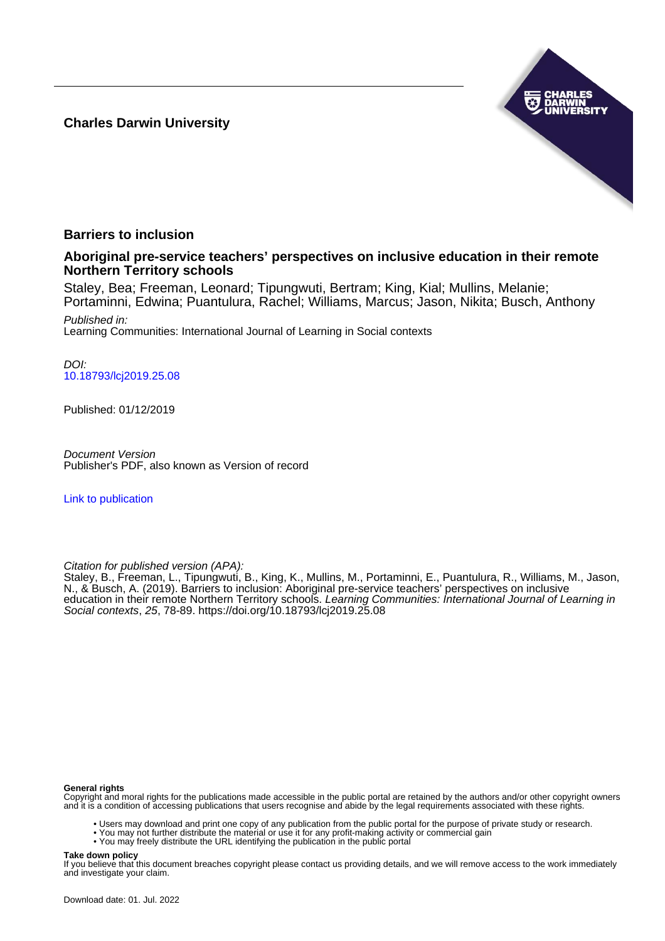**Charles Darwin University**



### **Barriers to inclusion**

#### **Aboriginal pre-service teachers' perspectives on inclusive education in their remote Northern Territory schools**

Staley, Bea; Freeman, Leonard; Tipungwuti, Bertram; King, Kial; Mullins, Melanie; Portaminni, Edwina; Puantulura, Rachel; Williams, Marcus; Jason, Nikita; Busch, Anthony

Published in: Learning Communities: International Journal of Learning in Social contexts

DOI: [10.18793/lcj2019.25.08](https://doi.org/10.18793/lcj2019.25.08)

Published: 01/12/2019

Document Version Publisher's PDF, also known as Version of record

[Link to publication](https://researchers.cdu.edu.au/en/publications/3a17c5c3-8bfc-4c3e-ab4d-c0318cd7b7d1)

Citation for published version (APA):

Staley, B., Freeman, L., Tipungwuti, B., King, K., Mullins, M., Portaminni, E., Puantulura, R., Williams, M., Jason, N., & Busch, A. (2019). Barriers to inclusion: Aboriginal pre-service teachers' perspectives on inclusive education in their remote Northern Territory schools. Learning Communities: International Journal of Learning in Social contexts, 25, 78-89. <https://doi.org/10.18793/lcj2019.25.08>

#### **General rights**

Copyright and moral rights for the publications made accessible in the public portal are retained by the authors and/or other copyright owners and it is a condition of accessing publications that users recognise and abide by the legal requirements associated with these rights.

- Users may download and print one copy of any publication from the public portal for the purpose of private study or research.
- You may not further distribute the material or use it for any profit-making activity or commercial gain
- You may freely distribute the URL identifying the publication in the public portal

#### **Take down policy**

If you believe that this document breaches copyright please contact us providing details, and we will remove access to the work immediately and investigate your claim.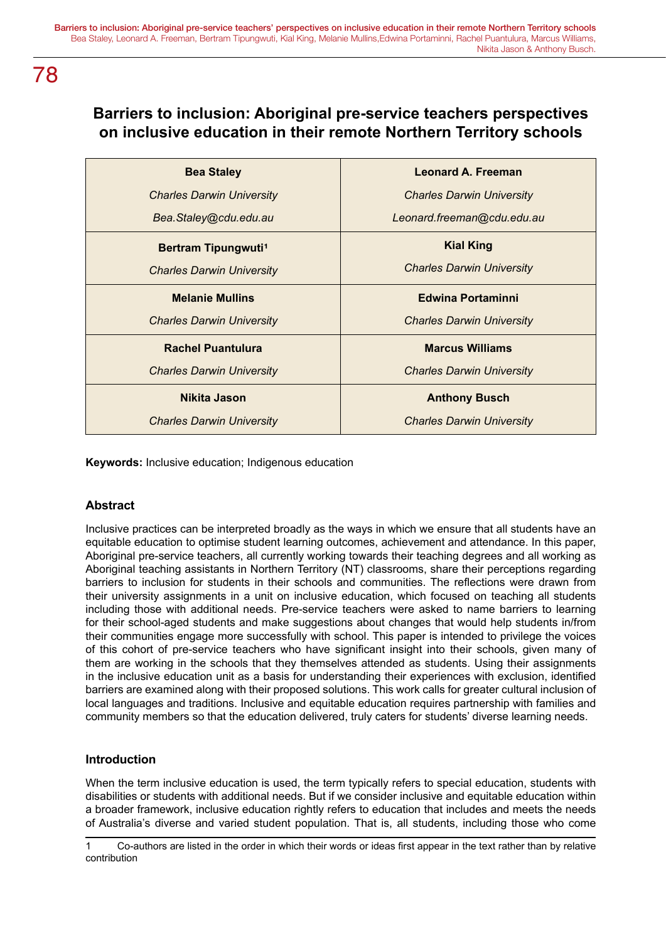### **Barriers to inclusion: Aboriginal pre-service teachers perspectives on inclusive education in their remote Northern Territory schools**

| <b>Bea Staley</b>                | <b>Leonard A. Freeman</b>        |
|----------------------------------|----------------------------------|
| <b>Charles Darwin University</b> | <b>Charles Darwin University</b> |
| Bea.Staley@cdu.edu.au            | Leonard.freeman@cdu.edu.au       |
| Bertram Tipungwuti <sup>1</sup>  | <b>Kial King</b>                 |
| <b>Charles Darwin University</b> | <b>Charles Darwin University</b> |
| <b>Melanie Mullins</b>           | <b>Edwina Portaminni</b>         |
| <b>Charles Darwin University</b> | <b>Charles Darwin University</b> |
| <b>Rachel Puantulura</b>         | <b>Marcus Williams</b>           |
| <b>Charles Darwin University</b> | <b>Charles Darwin University</b> |
| Nikita Jason                     | <b>Anthony Busch</b>             |
| <b>Charles Darwin University</b> | <b>Charles Darwin University</b> |

**Keywords:** Inclusive education; Indigenous education

### **Abstract**

Inclusive practices can be interpreted broadly as the ways in which we ensure that all students have an equitable education to optimise student learning outcomes, achievement and attendance. In this paper, Aboriginal pre-service teachers, all currently working towards their teaching degrees and all working as Aboriginal teaching assistants in Northern Territory (NT) classrooms, share their perceptions regarding barriers to inclusion for students in their schools and communities. The reflections were drawn from their university assignments in a unit on inclusive education, which focused on teaching all students including those with additional needs. Pre-service teachers were asked to name barriers to learning for their school-aged students and make suggestions about changes that would help students in/from their communities engage more successfully with school. This paper is intended to privilege the voices of this cohort of pre-service teachers who have significant insight into their schools, given many of them are working in the schools that they themselves attended as students. Using their assignments in the inclusive education unit as a basis for understanding their experiences with exclusion, identified barriers are examined along with their proposed solutions. This work calls for greater cultural inclusion of local languages and traditions. Inclusive and equitable education requires partnership with families and community members so that the education delivered, truly caters for students' diverse learning needs.

### **Introduction**

When the term inclusive education is used, the term typically refers to special education, students with disabilities or students with additional needs. But if we consider inclusive and equitable education within a broader framework, inclusive education rightly refers to education that includes and meets the needs of Australia's diverse and varied student population. That is, all students, including those who come

<sup>1</sup> Co-authors are listed in the order in which their words or ideas first appear in the text rather than by relative contribution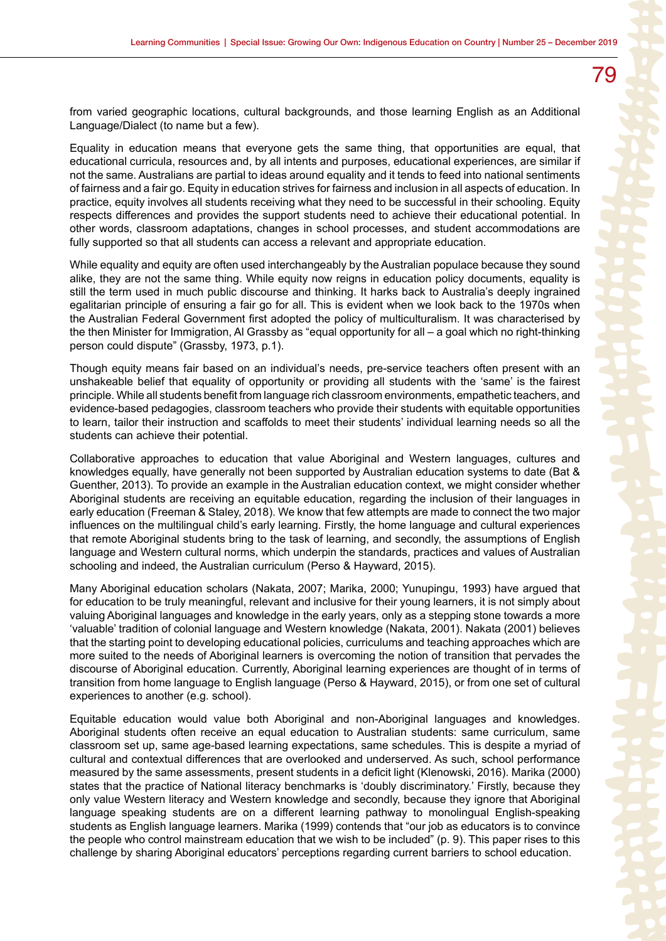from varied geographic locations, cultural backgrounds, and those learning English as an Additional Language/Dialect (to name but a few).

Equality in education means that everyone gets the same thing, that opportunities are equal, that educational curricula, resources and, by all intents and purposes, educational experiences, are similar if not the same. Australians are partial to ideas around equality and it tends to feed into national sentiments of fairness and a fair go. Equity in education strives for fairness and inclusion in all aspects of education. In practice, equity involves all students receiving what they need to be successful in their schooling. Equity respects differences and provides the support students need to achieve their educational potential. In other words, classroom adaptations, changes in school processes, and student accommodations are fully supported so that all students can access a relevant and appropriate education.

While equality and equity are often used interchangeably by the Australian populace because they sound alike, they are not the same thing. While equity now reigns in education policy documents, equality is still the term used in much public discourse and thinking. It harks back to Australia's deeply ingrained egalitarian principle of ensuring a fair go for all. This is evident when we look back to the 1970s when the Australian Federal Government first adopted the policy of multiculturalism. It was characterised by the then Minister for Immigration, Al Grassby as "equal opportunity for all – a goal which no right-thinking person could dispute" (Grassby, 1973, p.1).

Though equity means fair based on an individual's needs, pre-service teachers often present with an unshakeable belief that equality of opportunity or providing all students with the 'same' is the fairest principle. While all students benefit from language rich classroom environments, empathetic teachers, and evidence-based pedagogies, classroom teachers who provide their students with equitable opportunities to learn, tailor their instruction and scaffolds to meet their students' individual learning needs so all the students can achieve their potential.

Collaborative approaches to education that value Aboriginal and Western languages, cultures and knowledges equally, have generally not been supported by Australian education systems to date (Bat & Guenther, 2013). To provide an example in the Australian education context, we might consider whether Aboriginal students are receiving an equitable education, regarding the inclusion of their languages in early education (Freeman & Staley, 2018). We know that few attempts are made to connect the two major influences on the multilingual child's early learning. Firstly, the home language and cultural experiences that remote Aboriginal students bring to the task of learning, and secondly, the assumptions of English language and Western cultural norms, which underpin the standards, practices and values of Australian schooling and indeed, the Australian curriculum (Perso & Hayward, 2015).

Many Aboriginal education scholars (Nakata, 2007; Marika, 2000; Yunupingu, 1993) have argued that for education to be truly meaningful, relevant and inclusive for their young learners, it is not simply about valuing Aboriginal languages and knowledge in the early years, only as a stepping stone towards a more 'valuable' tradition of colonial language and Western knowledge (Nakata, 2001). Nakata (2001) believes that the starting point to developing educational policies, curriculums and teaching approaches which are more suited to the needs of Aboriginal learners is overcoming the notion of transition that pervades the discourse of Aboriginal education. Currently, Aboriginal learning experiences are thought of in terms of transition from home language to English language (Perso & Hayward, 2015), or from one set of cultural experiences to another (e.g. school).

Equitable education would value both Aboriginal and non-Aboriginal languages and knowledges. Aboriginal students often receive an equal education to Australian students: same curriculum, same classroom set up, same age-based learning expectations, same schedules. This is despite a myriad of cultural and contextual differences that are overlooked and underserved. As such, school performance measured by the same assessments, present students in a deficit light (Klenowski, 2016). Marika (2000) states that the practice of National literacy benchmarks is 'doubly discriminatory.' Firstly, because they only value Western literacy and Western knowledge and secondly, because they ignore that Aboriginal language speaking students are on a different learning pathway to monolingual English-speaking students as English language learners. Marika (1999) contends that "our job as educators is to convince the people who control mainstream education that we wish to be included" (p. 9). This paper rises to this challenge by sharing Aboriginal educators' perceptions regarding current barriers to school education.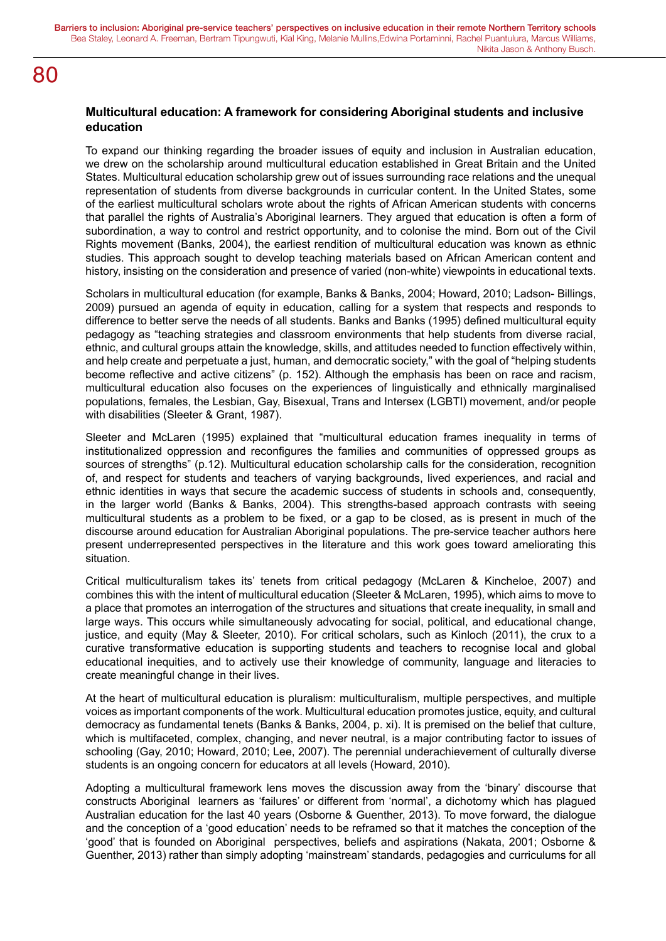#### **Multicultural education: A framework for considering Aboriginal students and inclusive education**

To expand our thinking regarding the broader issues of equity and inclusion in Australian education, we drew on the scholarship around multicultural education established in Great Britain and the United States. Multicultural education scholarship grew out of issues surrounding race relations and the unequal representation of students from diverse backgrounds in curricular content. In the United States, some of the earliest multicultural scholars wrote about the rights of African American students with concerns that parallel the rights of Australia's Aboriginal learners. They argued that education is often a form of subordination, a way to control and restrict opportunity, and to colonise the mind. Born out of the Civil Rights movement (Banks, 2004), the earliest rendition of multicultural education was known as ethnic studies. This approach sought to develop teaching materials based on African American content and history, insisting on the consideration and presence of varied (non-white) viewpoints in educational texts.

Scholars in multicultural education (for example, Banks & Banks, 2004; Howard, 2010; Ladson- Billings, 2009) pursued an agenda of equity in education, calling for a system that respects and responds to difference to better serve the needs of all students. Banks and Banks (1995) defined multicultural equity pedagogy as "teaching strategies and classroom environments that help students from diverse racial, ethnic, and cultural groups attain the knowledge, skills, and attitudes needed to function effectively within, and help create and perpetuate a just, human, and democratic society," with the goal of "helping students become reflective and active citizens" (p. 152). Although the emphasis has been on race and racism, multicultural education also focuses on the experiences of linguistically and ethnically marginalised populations, females, the Lesbian, Gay, Bisexual, Trans and Intersex (LGBTI) movement, and/or people with disabilities (Sleeter & Grant, 1987).

Sleeter and McLaren (1995) explained that "multicultural education frames inequality in terms of institutionalized oppression and reconfigures the families and communities of oppressed groups as sources of strengths" (p.12). Multicultural education scholarship calls for the consideration, recognition of, and respect for students and teachers of varying backgrounds, lived experiences, and racial and ethnic identities in ways that secure the academic success of students in schools and, consequently, in the larger world (Banks & Banks, 2004). This strengths-based approach contrasts with seeing multicultural students as a problem to be fixed, or a gap to be closed, as is present in much of the discourse around education for Australian Aboriginal populations. The pre-service teacher authors here present underrepresented perspectives in the literature and this work goes toward ameliorating this situation.

Critical multiculturalism takes its' tenets from critical pedagogy (McLaren & Kincheloe, 2007) and combines this with the intent of multicultural education (Sleeter & McLaren, 1995), which aims to move to a place that promotes an interrogation of the structures and situations that create inequality, in small and large ways. This occurs while simultaneously advocating for social, political, and educational change, justice, and equity (May & Sleeter, 2010). For critical scholars, such as Kinloch (2011), the crux to a curative transformative education is supporting students and teachers to recognise local and global educational inequities, and to actively use their knowledge of community, language and literacies to create meaningful change in their lives.

At the heart of multicultural education is pluralism: multiculturalism, multiple perspectives, and multiple voices as important components of the work. Multicultural education promotes justice, equity, and cultural democracy as fundamental tenets (Banks & Banks, 2004, p. xi). It is premised on the belief that culture, which is multifaceted, complex, changing, and never neutral, is a major contributing factor to issues of schooling (Gay, 2010; Howard, 2010; Lee, 2007). The perennial underachievement of culturally diverse students is an ongoing concern for educators at all levels (Howard, 2010).

Adopting a multicultural framework lens moves the discussion away from the 'binary' discourse that constructs Aboriginal learners as 'failures' or different from 'normal', a dichotomy which has plagued Australian education for the last 40 years (Osborne & Guenther, 2013). To move forward, the dialogue and the conception of a 'good education' needs to be reframed so that it matches the conception of the 'good' that is founded on Aboriginal perspectives, beliefs and aspirations (Nakata, 2001; Osborne & Guenther, 2013) rather than simply adopting 'mainstream' standards, pedagogies and curriculums for all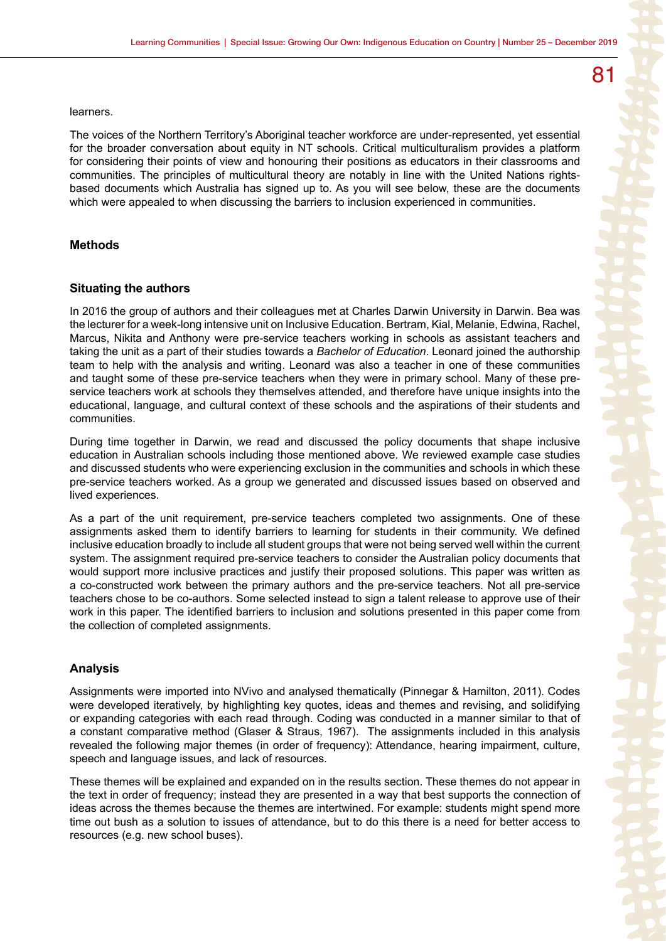learners.

The voices of the Northern Territory's Aboriginal teacher workforce are under-represented, yet essential for the broader conversation about equity in NT schools. Critical multiculturalism provides a platform for considering their points of view and honouring their positions as educators in their classrooms and communities. The principles of multicultural theory are notably in line with the United Nations rightsbased documents which Australia has signed up to. As you will see below, these are the documents which were appealed to when discussing the barriers to inclusion experienced in communities.

#### **Methods**

#### **Situating the authors**

In 2016 the group of authors and their colleagues met at Charles Darwin University in Darwin. Bea was the lecturer for a week-long intensive unit on Inclusive Education. Bertram, Kial, Melanie, Edwina, Rachel, Marcus, Nikita and Anthony were pre-service teachers working in schools as assistant teachers and taking the unit as a part of their studies towards a *Bachelor of Education*. Leonard joined the authorship team to help with the analysis and writing. Leonard was also a teacher in one of these communities and taught some of these pre-service teachers when they were in primary school. Many of these preservice teachers work at schools they themselves attended, and therefore have unique insights into the educational, language, and cultural context of these schools and the aspirations of their students and communities.

During time together in Darwin, we read and discussed the policy documents that shape inclusive education in Australian schools including those mentioned above. We reviewed example case studies and discussed students who were experiencing exclusion in the communities and schools in which these pre-service teachers worked. As a group we generated and discussed issues based on observed and lived experiences.

As a part of the unit requirement, pre-service teachers completed two assignments. One of these assignments asked them to identify barriers to learning for students in their community. We defined inclusive education broadly to include all student groups that were not being served well within the current system. The assignment required pre-service teachers to consider the Australian policy documents that would support more inclusive practices and justify their proposed solutions. This paper was written as a co-constructed work between the primary authors and the pre-service teachers. Not all pre-service teachers chose to be co-authors. Some selected instead to sign a talent release to approve use of their work in this paper. The identified barriers to inclusion and solutions presented in this paper come from the collection of completed assignments.

#### **Analysis**

Assignments were imported into NVivo and analysed thematically (Pinnegar & Hamilton, 2011). Codes were developed iteratively, by highlighting key quotes, ideas and themes and revising, and solidifying or expanding categories with each read through. Coding was conducted in a manner similar to that of a constant comparative method (Glaser & Straus, 1967). The assignments included in this analysis revealed the following major themes (in order of frequency): Attendance, hearing impairment, culture, speech and language issues, and lack of resources.

These themes will be explained and expanded on in the results section. These themes do not appear in the text in order of frequency; instead they are presented in a way that best supports the connection of ideas across the themes because the themes are intertwined. For example: students might spend more time out bush as a solution to issues of attendance, but to do this there is a need for better access to resources (e.g. new school buses).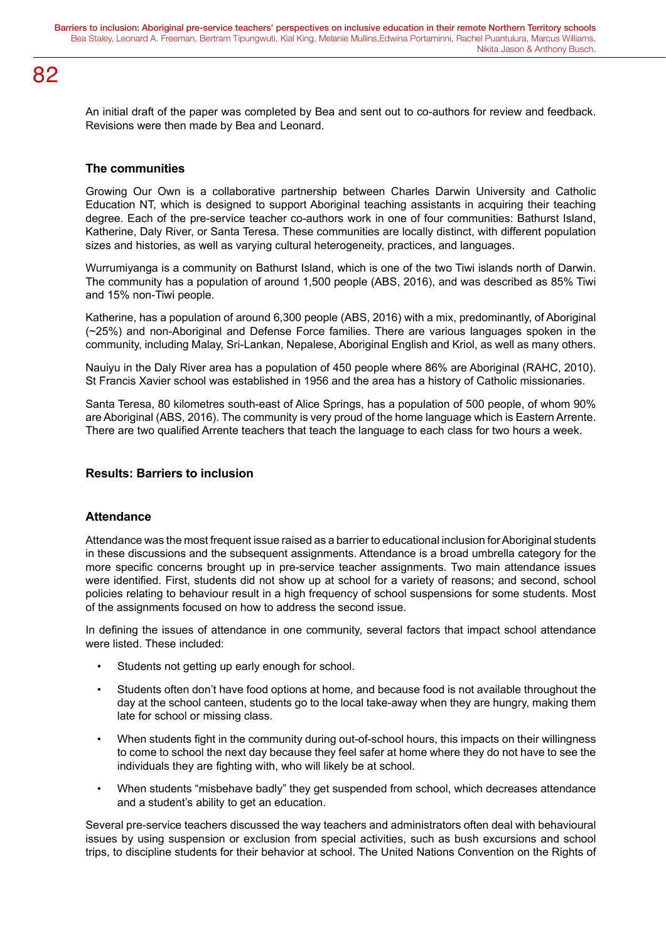An initial draft of the paper was completed by Bea and sent out to co-authors for review and feedback. Revisions were then made by Bea and Leonard.

#### **The communities**

Growing Our Own is a collaborative partnership between Charles Darwin University and Catholic Education NT, which is designed to support Aboriginal teaching assistants in acquiring their teaching degree. Each of the pre-service teacher co-authors work in one of four communities: Bathurst Island, Katherine, Daly River, or Santa Teresa. These communities are locally distinct, with different population sizes and histories, as well as varying cultural heterogeneity, practices, and languages.

Wurrumiyanga is a community on Bathurst Island, which is one of the two Tiwi islands north of Darwin. The community has a population of around 1,500 people (ABS, 2016), and was described as 85% Tiwi and 15% non-Tiwi people.

Katherine, has a population of around 6,300 people (ABS, 2016) with a mix, predominantly, of Aboriginal (~25%) and non-Aboriginal and Defense Force families. There are various languages spoken in the community, including Malay, Sri-Lankan, Nepalese, Aboriginal English and Kriol, as well as many others.

Nauiyu in the Daly River area has a population of 450 people where 86% are Aboriginal (RAHC, 2010). St Francis Xavier school was established in 1956 and the area has a history of Catholic missionaries.

Santa Teresa, 80 kilometres south-east of Alice Springs, has a population of 500 people, of whom 90% are Aboriginal (ABS, 2016). The community is very proud of the home language which is Eastern Arrente. There are two qualified Arrente teachers that teach the language to each class for two hours a week.

#### **Results: Barriers to inclusion**

#### **Attendance**

Attendance was the most frequent issue raised as a barrier to educational inclusion for Aboriginal students in these discussions and the subsequent assignments. Attendance is a broad umbrella category for the more specific concerns brought up in pre-service teacher assignments. Two main attendance issues were identified. First, students did not show up at school for a variety of reasons; and second, school policies relating to behaviour result in a high frequency of school suspensions for some students. Most of the assignments focused on how to address the second issue.

In defining the issues of attendance in one community, several factors that impact school attendance were listed. These included:

- Students not getting up early enough for school.
- Students often don't have food options at home, and because food is not available throughout the day at the school canteen, students go to the local take-away when they are hungry, making them late for school or missing class.
- When students fight in the community during out-of-school hours, this impacts on their willingness to come to school the next day because they feel safer at home where they do not have to see the individuals they are fighting with, who will likely be at school.
- When students "misbehave badly" they get suspended from school, which decreases attendance and a student's ability to get an education.

Several pre-service teachers discussed the way teachers and administrators often deal with behavioural issues by using suspension or exclusion from special activities, such as bush excursions and school trips, to discipline students for their behavior at school. The United Nations Convention on the Rights of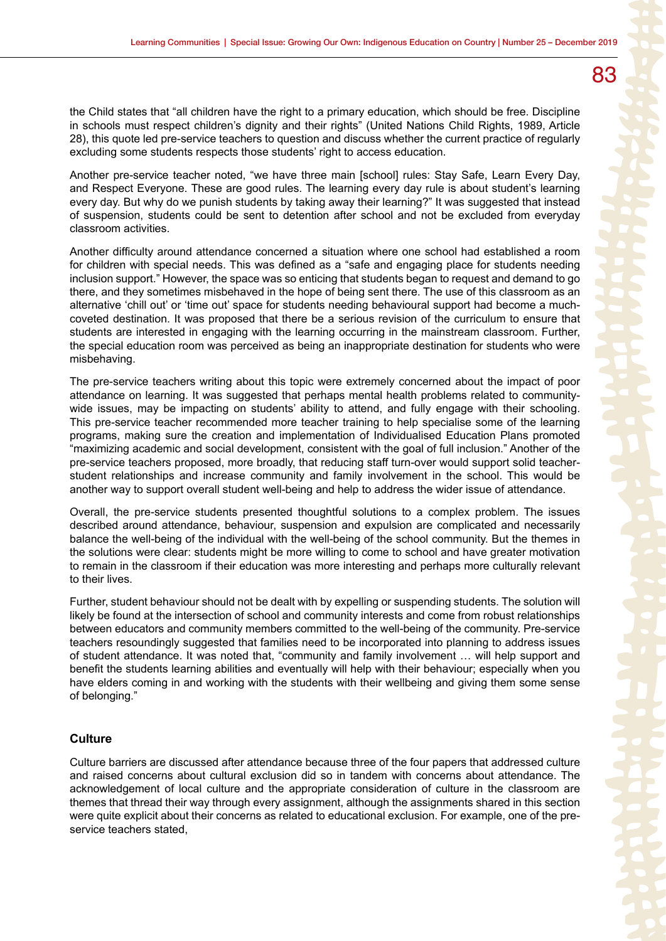the Child states that "all children have the right to a primary education, which should be free. Discipline in schools must respect children's dignity and their rights" (United Nations Child Rights, 1989, Article 28), this quote led pre-service teachers to question and discuss whether the current practice of regularly excluding some students respects those students' right to access education.

Another pre-service teacher noted, "we have three main [school] rules: Stay Safe, Learn Every Day, and Respect Everyone. These are good rules. The learning every day rule is about student's learning every day. But why do we punish students by taking away their learning?" It was suggested that instead of suspension, students could be sent to detention after school and not be excluded from everyday classroom activities.

Another difficulty around attendance concerned a situation where one school had established a room for children with special needs. This was defined as a "safe and engaging place for students needing inclusion support." However, the space was so enticing that students began to request and demand to go there, and they sometimes misbehaved in the hope of being sent there. The use of this classroom as an alternative 'chill out' or 'time out' space for students needing behavioural support had become a muchcoveted destination. It was proposed that there be a serious revision of the curriculum to ensure that students are interested in engaging with the learning occurring in the mainstream classroom. Further, the special education room was perceived as being an inappropriate destination for students who were misbehaving.

The pre-service teachers writing about this topic were extremely concerned about the impact of poor attendance on learning. It was suggested that perhaps mental health problems related to communitywide issues, may be impacting on students' ability to attend, and fully engage with their schooling. This pre-service teacher recommended more teacher training to help specialise some of the learning programs, making sure the creation and implementation of Individualised Education Plans promoted "maximizing academic and social development, consistent with the goal of full inclusion." Another of the pre-service teachers proposed, more broadly, that reducing staff turn-over would support solid teacherstudent relationships and increase community and family involvement in the school. This would be another way to support overall student well-being and help to address the wider issue of attendance.

Overall, the pre-service students presented thoughtful solutions to a complex problem. The issues described around attendance, behaviour, suspension and expulsion are complicated and necessarily balance the well-being of the individual with the well-being of the school community. But the themes in the solutions were clear: students might be more willing to come to school and have greater motivation to remain in the classroom if their education was more interesting and perhaps more culturally relevant to their lives.

Further, student behaviour should not be dealt with by expelling or suspending students. The solution will likely be found at the intersection of school and community interests and come from robust relationships between educators and community members committed to the well-being of the community. Pre-service teachers resoundingly suggested that families need to be incorporated into planning to address issues of student attendance. It was noted that, "community and family involvement … will help support and benefit the students learning abilities and eventually will help with their behaviour; especially when you have elders coming in and working with the students with their wellbeing and giving them some sense of belonging."

#### **Culture**

Culture barriers are discussed after attendance because three of the four papers that addressed culture and raised concerns about cultural exclusion did so in tandem with concerns about attendance. The acknowledgement of local culture and the appropriate consideration of culture in the classroom are themes that thread their way through every assignment, although the assignments shared in this section were quite explicit about their concerns as related to educational exclusion. For example, one of the preservice teachers stated.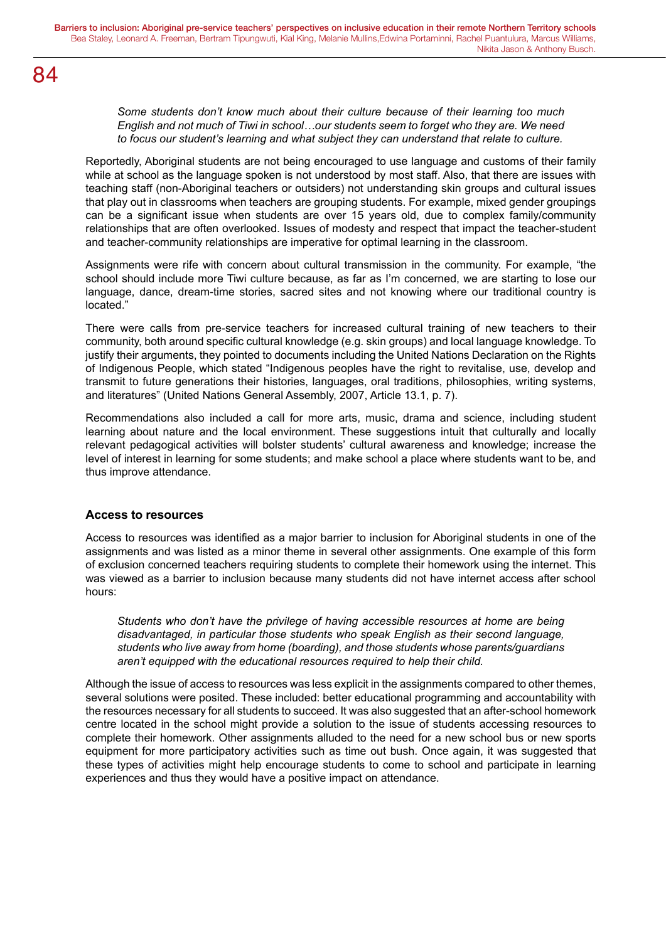*Some students don't know much about their culture because of their learning too much English and not much of Tiwi in school…our students seem to forget who they are. We need to focus our student's learning and what subject they can understand that relate to culture.*

Reportedly, Aboriginal students are not being encouraged to use language and customs of their family while at school as the language spoken is not understood by most staff. Also, that there are issues with teaching staff (non-Aboriginal teachers or outsiders) not understanding skin groups and cultural issues that play out in classrooms when teachers are grouping students. For example, mixed gender groupings can be a significant issue when students are over 15 years old, due to complex family/community relationships that are often overlooked. Issues of modesty and respect that impact the teacher-student and teacher-community relationships are imperative for optimal learning in the classroom.

Assignments were rife with concern about cultural transmission in the community. For example, "the school should include more Tiwi culture because, as far as I'm concerned, we are starting to lose our language, dance, dream-time stories, sacred sites and not knowing where our traditional country is located."

There were calls from pre-service teachers for increased cultural training of new teachers to their community, both around specific cultural knowledge (e.g. skin groups) and local language knowledge. To justify their arguments, they pointed to documents including the United Nations Declaration on the Rights of Indigenous People, which stated "Indigenous peoples have the right to revitalise, use, develop and transmit to future generations their histories, languages, oral traditions, philosophies, writing systems, and literatures" (United Nations General Assembly, 2007, Article 13.1, p. 7).

Recommendations also included a call for more arts, music, drama and science, including student learning about nature and the local environment. These suggestions intuit that culturally and locally relevant pedagogical activities will bolster students' cultural awareness and knowledge; increase the level of interest in learning for some students; and make school a place where students want to be, and thus improve attendance.

#### **Access to resources**

Access to resources was identified as a major barrier to inclusion for Aboriginal students in one of the assignments and was listed as a minor theme in several other assignments. One example of this form of exclusion concerned teachers requiring students to complete their homework using the internet. This was viewed as a barrier to inclusion because many students did not have internet access after school hours:

*Students who don't have the privilege of having accessible resources at home are being disadvantaged, in particular those students who speak English as their second language, students who live away from home (boarding), and those students whose parents/guardians aren't equipped with the educational resources required to help their child.*

Although the issue of access to resources was less explicit in the assignments compared to other themes, several solutions were posited. These included: better educational programming and accountability with the resources necessary for all students to succeed. It was also suggested that an after-school homework centre located in the school might provide a solution to the issue of students accessing resources to complete their homework. Other assignments alluded to the need for a new school bus or new sports equipment for more participatory activities such as time out bush. Once again, it was suggested that these types of activities might help encourage students to come to school and participate in learning experiences and thus they would have a positive impact on attendance.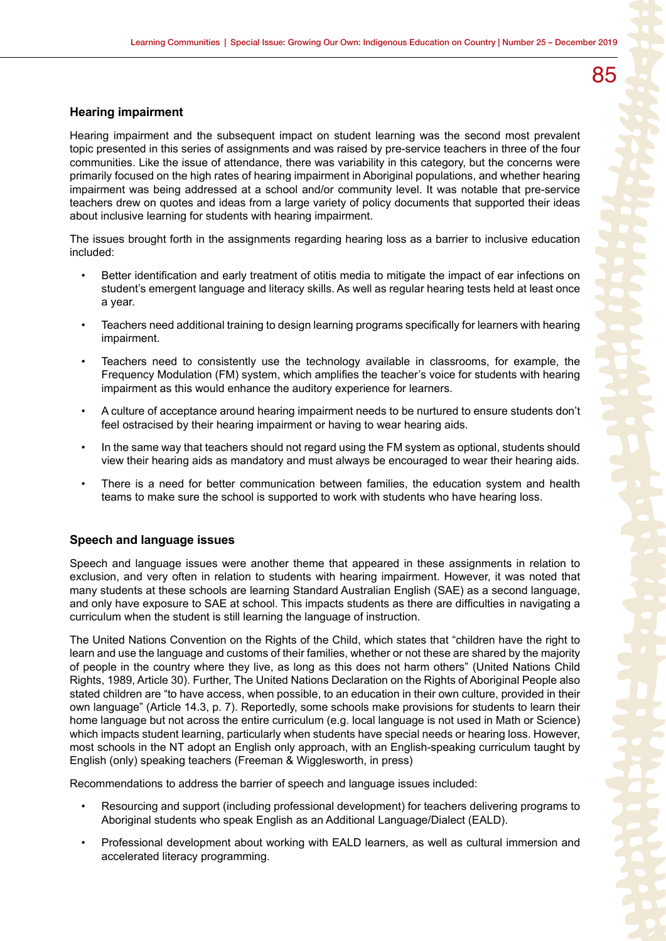#### **Hearing impairment**

Hearing impairment and the subsequent impact on student learning was the second most prevalent topic presented in this series of assignments and was raised by pre-service teachers in three of the four communities. Like the issue of attendance, there was variability in this category, but the concerns were primarily focused on the high rates of hearing impairment in Aboriginal populations, and whether hearing impairment was being addressed at a school and/or community level. It was notable that pre-service teachers drew on quotes and ideas from a large variety of policy documents that supported their ideas about inclusive learning for students with hearing impairment.

The issues brought forth in the assignments regarding hearing loss as a barrier to inclusive education included:

- Better identification and early treatment of otitis media to mitigate the impact of ear infections on student's emergent language and literacy skills. As well as regular hearing tests held at least once a year.
- Teachers need additional training to design learning programs specifically for learners with hearing impairment.
- Teachers need to consistently use the technology available in classrooms, for example, the Frequency Modulation (FM) system, which amplifies the teacher's voice for students with hearing impairment as this would enhance the auditory experience for learners.
- A culture of acceptance around hearing impairment needs to be nurtured to ensure students don't feel ostracised by their hearing impairment or having to wear hearing aids.
- In the same way that teachers should not regard using the FM system as optional, students should view their hearing aids as mandatory and must always be encouraged to wear their hearing aids.
- There is a need for better communication between families, the education system and health teams to make sure the school is supported to work with students who have hearing loss.

#### **Speech and language issues**

Speech and language issues were another theme that appeared in these assignments in relation to exclusion, and very often in relation to students with hearing impairment. However, it was noted that many students at these schools are learning Standard Australian English (SAE) as a second language, and only have exposure to SAE at school. This impacts students as there are difficulties in navigating a curriculum when the student is still learning the language of instruction.

The United Nations Convention on the Rights of the Child, which states that "children have the right to learn and use the language and customs of their families, whether or not these are shared by the majority of people in the country where they live, as long as this does not harm others" (United Nations Child Rights, 1989, Article 30). Further, The United Nations Declaration on the Rights of Aboriginal People also stated children are "to have access, when possible, to an education in their own culture, provided in their own language" (Article 14.3, p. 7). Reportedly, some schools make provisions for students to learn their home language but not across the entire curriculum (e.g. local language is not used in Math or Science) which impacts student learning, particularly when students have special needs or hearing loss. However, most schools in the NT adopt an English only approach, with an English-speaking curriculum taught by English (only) speaking teachers (Freeman & Wigglesworth, in press)

Recommendations to address the barrier of speech and language issues included:

- Resourcing and support (including professional development) for teachers delivering programs to Aboriginal students who speak English as an Additional Language/Dialect (EALD).
- Professional development about working with EALD learners, as well as cultural immersion and accelerated literacy programming.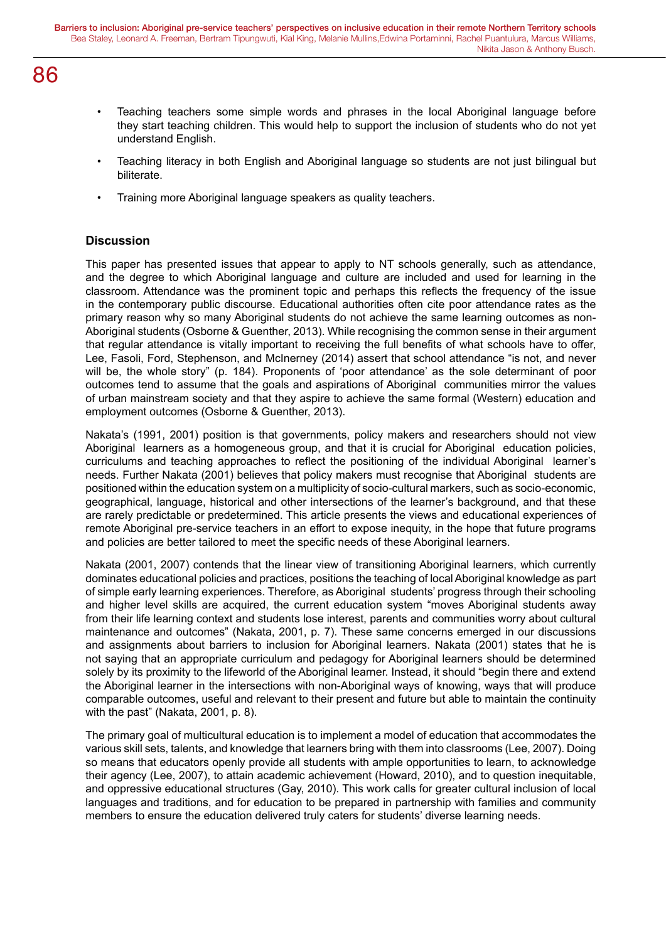- Teaching teachers some simple words and phrases in the local Aboriginal language before they start teaching children. This would help to support the inclusion of students who do not yet understand English.
- Teaching literacy in both English and Aboriginal language so students are not just bilingual but biliterate.
- Training more Aboriginal language speakers as quality teachers.

#### **Discussion**

This paper has presented issues that appear to apply to NT schools generally, such as attendance, and the degree to which Aboriginal language and culture are included and used for learning in the classroom. Attendance was the prominent topic and perhaps this reflects the frequency of the issue in the contemporary public discourse. Educational authorities often cite poor attendance rates as the primary reason why so many Aboriginal students do not achieve the same learning outcomes as non-Aboriginal students (Osborne & Guenther, 2013). While recognising the common sense in their argument that regular attendance is vitally important to receiving the full benefits of what schools have to offer, Lee, Fasoli, Ford, Stephenson, and McInerney (2014) assert that school attendance "is not, and never will be, the whole story" (p. 184). Proponents of 'poor attendance' as the sole determinant of poor outcomes tend to assume that the goals and aspirations of Aboriginal communities mirror the values of urban mainstream society and that they aspire to achieve the same formal (Western) education and employment outcomes (Osborne & Guenther, 2013).

Nakata's (1991, 2001) position is that governments, policy makers and researchers should not view Aboriginal learners as a homogeneous group, and that it is crucial for Aboriginal education policies, curriculums and teaching approaches to reflect the positioning of the individual Aboriginal learner's needs. Further Nakata (2001) believes that policy makers must recognise that Aboriginal students are positioned within the education system on a multiplicity of socio-cultural markers, such as socio-economic, geographical, language, historical and other intersections of the learner's background, and that these are rarely predictable or predetermined. This article presents the views and educational experiences of remote Aboriginal pre-service teachers in an effort to expose inequity, in the hope that future programs and policies are better tailored to meet the specific needs of these Aboriginal learners.

Nakata (2001, 2007) contends that the linear view of transitioning Aboriginal learners, which currently dominates educational policies and practices, positions the teaching of local Aboriginal knowledge as part of simple early learning experiences. Therefore, as Aboriginal students' progress through their schooling and higher level skills are acquired, the current education system "moves Aboriginal students away from their life learning context and students lose interest, parents and communities worry about cultural maintenance and outcomes" (Nakata, 2001, p. 7). These same concerns emerged in our discussions and assignments about barriers to inclusion for Aboriginal learners. Nakata (2001) states that he is not saying that an appropriate curriculum and pedagogy for Aboriginal learners should be determined solely by its proximity to the lifeworld of the Aboriginal learner. Instead, it should "begin there and extend the Aboriginal learner in the intersections with non-Aboriginal ways of knowing, ways that will produce comparable outcomes, useful and relevant to their present and future but able to maintain the continuity with the past" (Nakata, 2001, p. 8).

The primary goal of multicultural education is to implement a model of education that accommodates the various skill sets, talents, and knowledge that learners bring with them into classrooms (Lee, 2007). Doing so means that educators openly provide all students with ample opportunities to learn, to acknowledge their agency (Lee, 2007), to attain academic achievement (Howard, 2010), and to question inequitable, and oppressive educational structures (Gay, 2010). This work calls for greater cultural inclusion of local languages and traditions, and for education to be prepared in partnership with families and community members to ensure the education delivered truly caters for students' diverse learning needs.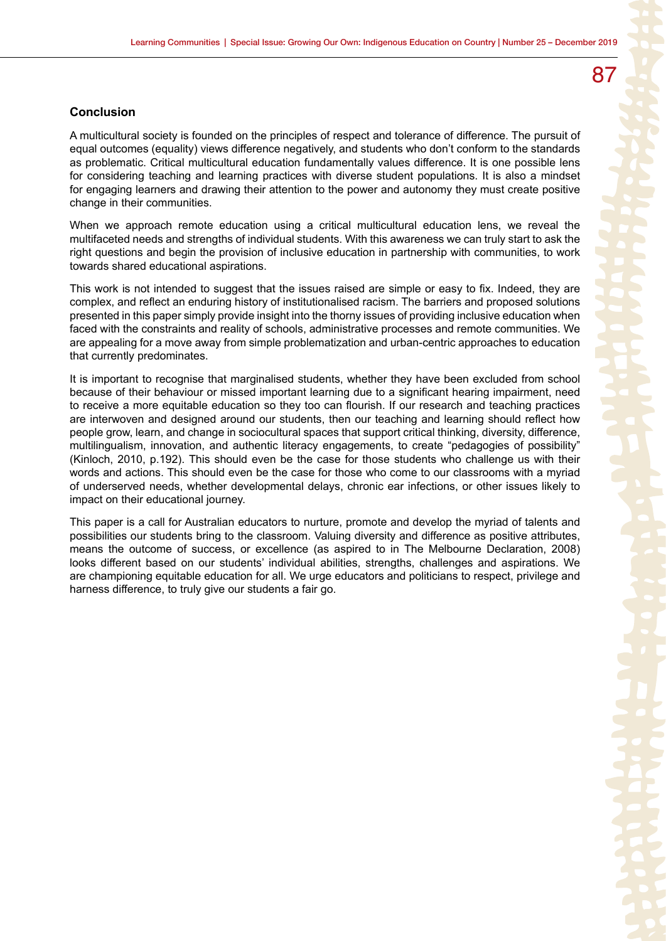#### **Conclusion**

A multicultural society is founded on the principles of respect and tolerance of difference. The pursuit of equal outcomes (equality) views difference negatively, and students who don't conform to the standards as problematic. Critical multicultural education fundamentally values difference. It is one possible lens for considering teaching and learning practices with diverse student populations. It is also a mindset for engaging learners and drawing their attention to the power and autonomy they must create positive change in their communities.

When we approach remote education using a critical multicultural education lens, we reveal the multifaceted needs and strengths of individual students. With this awareness we can truly start to ask the right questions and begin the provision of inclusive education in partnership with communities, to work towards shared educational aspirations.

This work is not intended to suggest that the issues raised are simple or easy to fix. Indeed, they are complex, and reflect an enduring history of institutionalised racism. The barriers and proposed solutions presented in this paper simply provide insight into the thorny issues of providing inclusive education when faced with the constraints and reality of schools, administrative processes and remote communities. We are appealing for a move away from simple problematization and urban-centric approaches to education that currently predominates.

It is important to recognise that marginalised students, whether they have been excluded from school because of their behaviour or missed important learning due to a significant hearing impairment, need to receive a more equitable education so they too can flourish. If our research and teaching practices are interwoven and designed around our students, then our teaching and learning should reflect how people grow, learn, and change in sociocultural spaces that support critical thinking, diversity, difference, multilingualism, innovation, and authentic literacy engagements, to create "pedagogies of possibility" (Kinloch, 2010, p.192). This should even be the case for those students who challenge us with their words and actions. This should even be the case for those who come to our classrooms with a myriad of underserved needs, whether developmental delays, chronic ear infections, or other issues likely to impact on their educational journey.

This paper is a call for Australian educators to nurture, promote and develop the myriad of talents and possibilities our students bring to the classroom. Valuing diversity and difference as positive attributes, means the outcome of success, or excellence (as aspired to in The Melbourne Declaration, 2008) looks different based on our students' individual abilities, strengths, challenges and aspirations. We are championing equitable education for all. We urge educators and politicians to respect, privilege and harness difference, to truly give our students a fair go.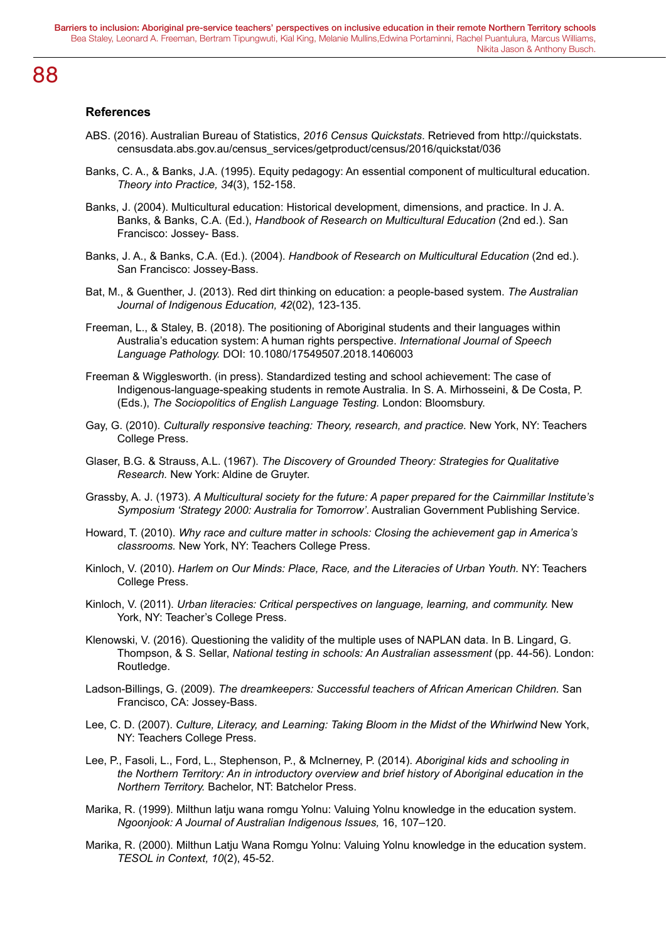#### **References**

- ABS. (2016). Australian Bureau of Statistics, *2016 Census Quickstats*. Retrieved from http://quickstats. censusdata.abs.gov.au/census\_services/getproduct/census/2016/quickstat/036
- Banks, C. A., & Banks, J.A. (1995). Equity pedagogy: An essential component of multicultural education. *Theory into Practice, 34*(3), 152-158.
- Banks, J. (2004). Multicultural education: Historical development, dimensions, and practice. In J. A. Banks, & Banks, C.A. (Ed.), *Handbook of Research on Multicultural Education* (2nd ed.). San Francisco: Jossey- Bass.
- Banks, J. A., & Banks, C.A. (Ed.). (2004). *Handbook of Research on Multicultural Education* (2nd ed.). San Francisco: Jossey-Bass.
- Bat, M., & Guenther, J. (2013). Red dirt thinking on education: a people-based system. *The Australian Journal of Indigenous Education, 42*(02), 123-135.
- Freeman, L., & Staley, B. (2018). The positioning of Aboriginal students and their languages within Australia's education system: A human rights perspective. *International Journal of Speech Language Pathology.* DOI: 10.1080/17549507.2018.1406003
- Freeman & Wigglesworth. (in press). Standardized testing and school achievement: The case of Indigenous-language-speaking students in remote Australia. In S. A. Mirhosseini, & De Costa, P. (Eds.), *The Sociopolitics of English Language Testing.* London: Bloomsbury.
- Gay, G. (2010). *Culturally responsive teaching: Theory, research, and practice.* New York, NY: Teachers College Press.
- Glaser, B.G. & Strauss, A.L. (1967). *The Discovery of Grounded Theory: Strategies for Qualitative Research.* New York: Aldine de Gruyter.
- Grassby, A. J. (1973). *A Multicultural society for the future: A paper prepared for the Cairnmillar Institute's Symposium 'Strategy 2000: Australia for Tomorrow'*. Australian Government Publishing Service.
- Howard, T. (2010). *Why race and culture matter in schools: Closing the achievement gap in America's classrooms.* New York, NY: Teachers College Press.
- Kinloch, V. (2010). *Harlem on Our Minds: Place, Race, and the Literacies of Urban Youth.* NY: Teachers College Press.
- Kinloch, V. (2011). *Urban literacies: Critical perspectives on language, learning, and community.* New York, NY: Teacher's College Press.
- Klenowski, V. (2016). Questioning the validity of the multiple uses of NAPLAN data. In B. Lingard, G. Thompson, & S. Sellar, *National testing in schools: An Australian assessment* (pp. 44-56). London: Routledge.
- Ladson-Billings, G. (2009). *The dreamkeepers: Successful teachers of African American Children.* San Francisco, CA: Jossey-Bass.
- Lee, C. D. (2007). Culture, Literacy, and Learning: Taking Bloom in the Midst of the Whirlwind New York, NY: Teachers College Press.
- Lee, P., Fasoli, L., Ford, L., Stephenson, P., & McInerney, P. (2014). *Aboriginal kids and schooling in the Northern Territory: An in introductory overview and brief history of Aboriginal education in the Northern Territory.* Bachelor, NT: Batchelor Press.
- Marika, R. (1999). Milthun latju wana romgu Yolnu: Valuing Yolnu knowledge in the education system. *Ngoonjook: A Journal of Australian Indigenous Issues,* 16, 107–120.
- Marika, R. (2000). Milthun Latju Wana Romgu Yolnu: Valuing Yolnu knowledge in the education system. *TESOL in Context, 10*(2), 45-52.